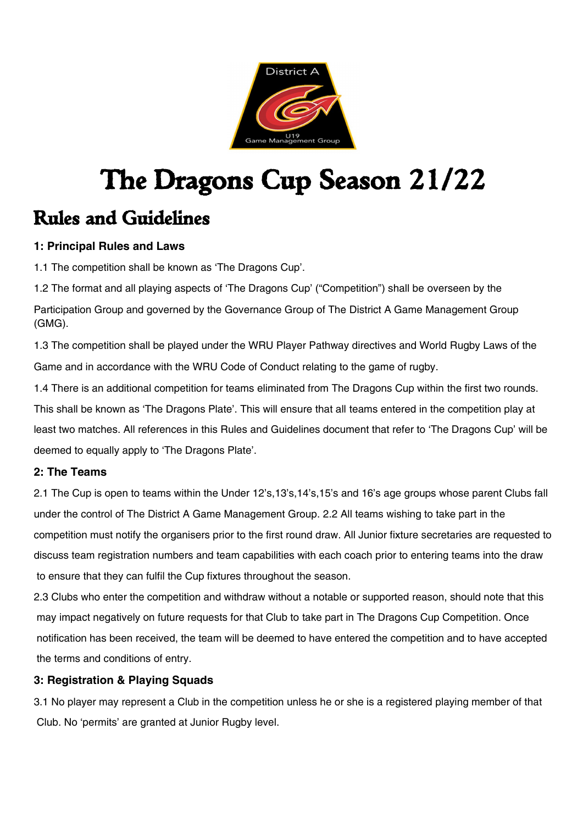

# The Dragons Cup Season 21/22 Rules and Guidelines

### **1: Principal Rules and Laws**

1.1 The competition shall be known as 'The Dragons Cup'.

1.2 The format and all playing aspects of 'The Dragons Cup' ("Competition") shall be overseen by the Participation Group and governed by the Governance Group of The District A Game Management Group (GMG).

1.3 The competition shall be played under the WRU Player Pathway directives and World Rugby Laws of the Game and in accordance with the WRU Code of Conduct relating to the game of rugby.

1.4 There is an additional competition for teams eliminated from The Dragons Cup within the first two rounds. This shall be known as 'The Dragons Plate'. This will ensure that all teams entered in the competition play at least two matches. All references in this Rules and Guidelines document that refer to 'The Dragons Cup' will be deemed to equally apply to 'The Dragons Plate'.

### **2: The Teams**

2.1 The Cup is open to teams within the Under 12's,13's,14's,15's and 16's age groups whose parent Clubs fall under the control of The District A Game Management Group. 2.2 All teams wishing to take part in the competition must notify the organisers prior to the first round draw. All Junior fixture secretaries are requested to discuss team registration numbers and team capabilities with each coach prior to entering teams into the draw to ensure that they can fulfil the Cup fixtures throughout the season.

2.3 Clubs who enter the competition and withdraw without a notable or supported reason, should note that this may impact negatively on future requests for that Club to take part in The Dragons Cup Competition. Once notification has been received, the team will be deemed to have entered the competition and to have accepted the terms and conditions of entry.

### **3: Registration & Playing Squads**

3.1 No player may represent a Club in the competition unless he or she is a registered playing member of that Club. No 'permits' are granted at Junior Rugby level.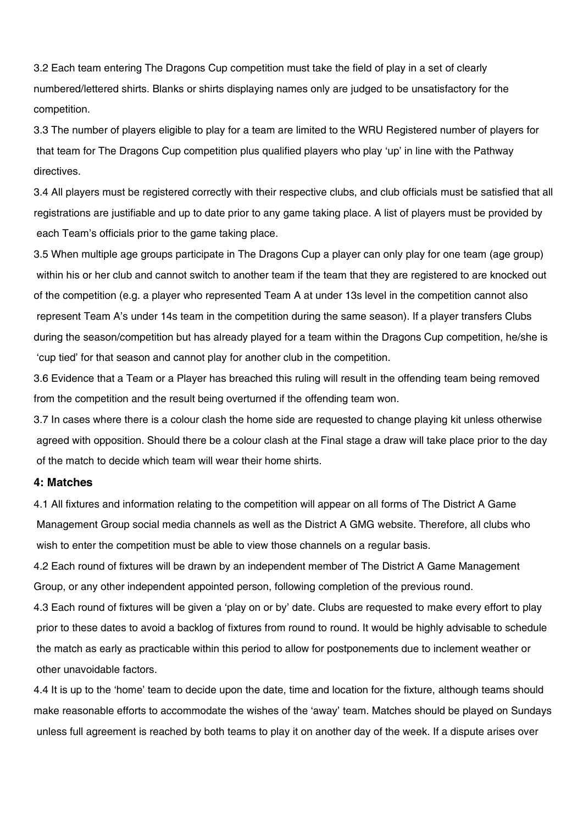3.2 Each team entering The Dragons Cup competition must take the field of play in a set of clearly numbered/lettered shirts. Blanks or shirts displaying names only are judged to be unsatisfactory for the competition.

3.3 The number of players eligible to play for a team are limited to the WRU Registered number of players for that team for The Dragons Cup competition plus qualified players who play 'up' in line with the Pathway directives.

3.4 All players must be registered correctly with their respective clubs, and club officials must be satisfied that all registrations are justifiable and up to date prior to any game taking place. A list of players must be provided by each Team's officials prior to the game taking place.

3.5 When multiple age groups participate in The Dragons Cup a player can only play for one team (age group) within his or her club and cannot switch to another team if the team that they are registered to are knocked out of the competition (e.g. a player who represented Team A at under 13s level in the competition cannot also represent Team A's under 14s team in the competition during the same season). If a player transfers Clubs during the season/competition but has already played for a team within the Dragons Cup competition, he/she is 'cup tied' for that season and cannot play for another club in the competition.

3.6 Evidence that a Team or a Player has breached this ruling will result in the offending team being removed from the competition and the result being overturned if the offending team won.

3.7 In cases where there is a colour clash the home side are requested to change playing kit unless otherwise agreed with opposition. Should there be a colour clash at the Final stage a draw will take place prior to the day of the match to decide which team will wear their home shirts.

#### **4: Matches**

4.1 All fixtures and information relating to the competition will appear on all forms of The District A Game Management Group social media channels as well as the District A GMG website. Therefore, all clubs who wish to enter the competition must be able to view those channels on a regular basis.

4.2 Each round of fixtures will be drawn by an independent member of The District A Game Management Group, or any other independent appointed person, following completion of the previous round.

4.3 Each round of fixtures will be given a 'play on or by' date. Clubs are requested to make every effort to play prior to these dates to avoid a backlog of fixtures from round to round. It would be highly advisable to schedule the match as early as practicable within this period to allow for postponements due to inclement weather or other unavoidable factors.

4.4 It is up to the 'home' team to decide upon the date, time and location for the fixture, although teams should make reasonable efforts to accommodate the wishes of the 'away' team. Matches should be played on Sundays unless full agreement is reached by both teams to play it on another day of the week. If a dispute arises over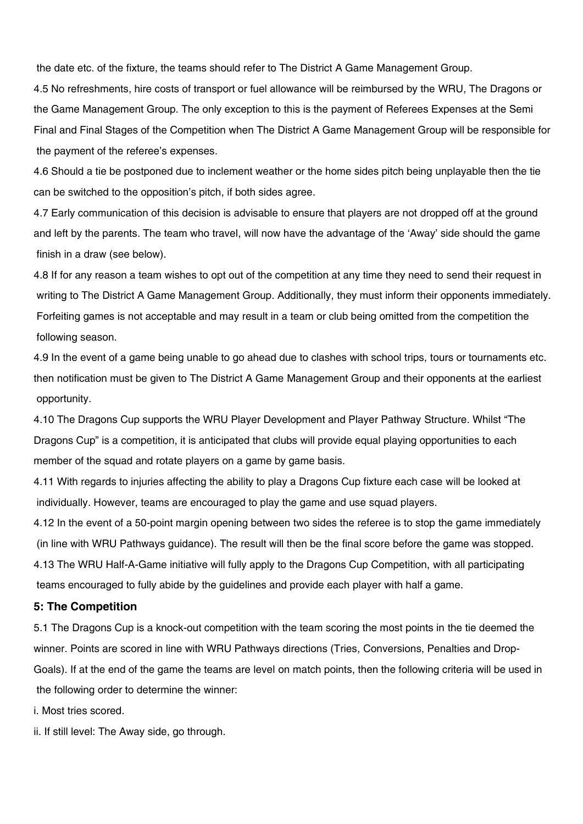the date etc. of the fixture, the teams should refer to The District A Game Management Group.

4.5 No refreshments, hire costs of transport or fuel allowance will be reimbursed by the WRU, The Dragons or the Game Management Group. The only exception to this is the payment of Referees Expenses at the Semi Final and Final Stages of the Competition when The District A Game Management Group will be responsible for the payment of the referee's expenses.

4.6 Should a tie be postponed due to inclement weather or the home sides pitch being unplayable then the tie can be switched to the opposition's pitch, if both sides agree.

4.7 Early communication of this decision is advisable to ensure that players are not dropped off at the ground and left by the parents. The team who travel, will now have the advantage of the 'Away' side should the game finish in a draw (see below).

4.8 If for any reason a team wishes to opt out of the competition at any time they need to send their request in writing to The District A Game Management Group. Additionally, they must inform their opponents immediately. Forfeiting games is not acceptable and may result in a team or club being omitted from the competition the following season.

4.9 In the event of a game being unable to go ahead due to clashes with school trips, tours or tournaments etc. then notification must be given to The District A Game Management Group and their opponents at the earliest opportunity.

4.10 The Dragons Cup supports the WRU Player Development and Player Pathway Structure. Whilst "The Dragons Cup" is a competition, it is anticipated that clubs will provide equal playing opportunities to each member of the squad and rotate players on a game by game basis.

4.11 With regards to injuries affecting the ability to play a Dragons Cup fixture each case will be looked at individually. However, teams are encouraged to play the game and use squad players.

4.12 In the event of a 50-point margin opening between two sides the referee is to stop the game immediately (in line with WRU Pathways guidance). The result will then be the final score before the game was stopped. 4.13 The WRU Half-A-Game initiative will fully apply to the Dragons Cup Competition, with all participating teams encouraged to fully abide by the guidelines and provide each player with half a game.

#### **5: The Competition**

5.1 The Dragons Cup is a knock-out competition with the team scoring the most points in the tie deemed the winner. Points are scored in line with WRU Pathways directions (Tries, Conversions, Penalties and Drop-Goals). If at the end of the game the teams are level on match points, then the following criteria will be used in the following order to determine the winner:

i. Most tries scored.

ii. If still level: The Away side, go through.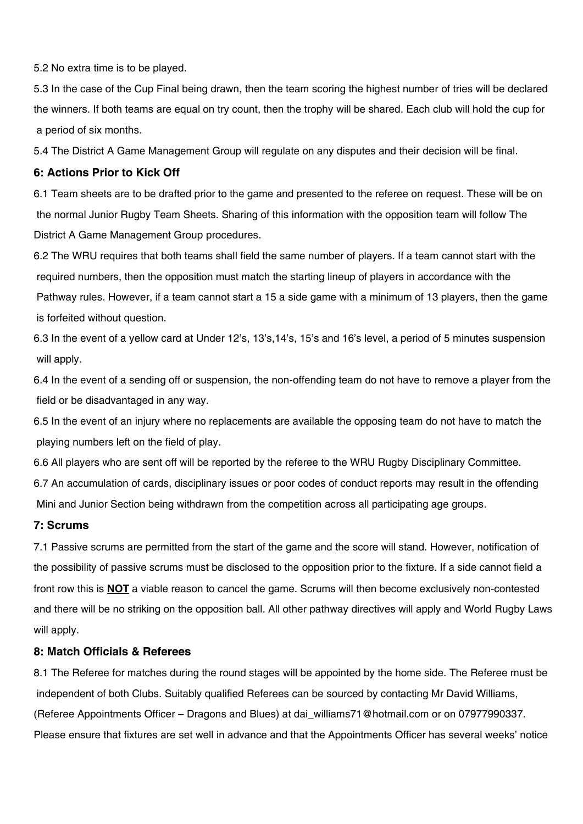5.2 No extra time is to be played.

5.3 In the case of the Cup Final being drawn, then the team scoring the highest number of tries will be declared the winners. If both teams are equal on try count, then the trophy will be shared. Each club will hold the cup for a period of six months.

5.4 The District A Game Management Group will regulate on any disputes and their decision will be final.

#### **6: Actions Prior to Kick Off**

6.1 Team sheets are to be drafted prior to the game and presented to the referee on request. These will be on the normal Junior Rugby Team Sheets. Sharing of this information with the opposition team will follow The District A Game Management Group procedures.

6.2 The WRU requires that both teams shall field the same number of players. If a team cannot start with the required numbers, then the opposition must match the starting lineup of players in accordance with the Pathway rules. However, if a team cannot start a 15 a side game with a minimum of 13 players, then the game is forfeited without question.

6.3 In the event of a yellow card at Under 12's, 13's,14's, 15's and 16's level, a period of 5 minutes suspension will apply.

6.4 In the event of a sending off or suspension, the non-offending team do not have to remove a player from the field or be disadvantaged in any way.

6.5 In the event of an injury where no replacements are available the opposing team do not have to match the playing numbers left on the field of play.

6.6 All players who are sent off will be reported by the referee to the WRU Rugby Disciplinary Committee.

6.7 An accumulation of cards, disciplinary issues or poor codes of conduct reports may result in the offending Mini and Junior Section being withdrawn from the competition across all participating age groups.

#### **7: Scrums**

7.1 Passive scrums are permitted from the start of the game and the score will stand. However, notification of the possibility of passive scrums must be disclosed to the opposition prior to the fixture. If a side cannot field a front row this is **NOT** a viable reason to cancel the game. Scrums will then become exclusively non-contested and there will be no striking on the opposition ball. All other pathway directives will apply and World Rugby Laws will apply.

#### **8: Match Officials & Referees**

8.1 The Referee for matches during the round stages will be appointed by the home side. The Referee must be independent of both Clubs. Suitably qualified Referees can be sourced by contacting Mr David Williams, (Referee Appointments Officer – Dragons and Blues) at dai\_williams71@hotmail.com or on 07977990337. Please ensure that fixtures are set well in advance and that the Appointments Officer has several weeks' notice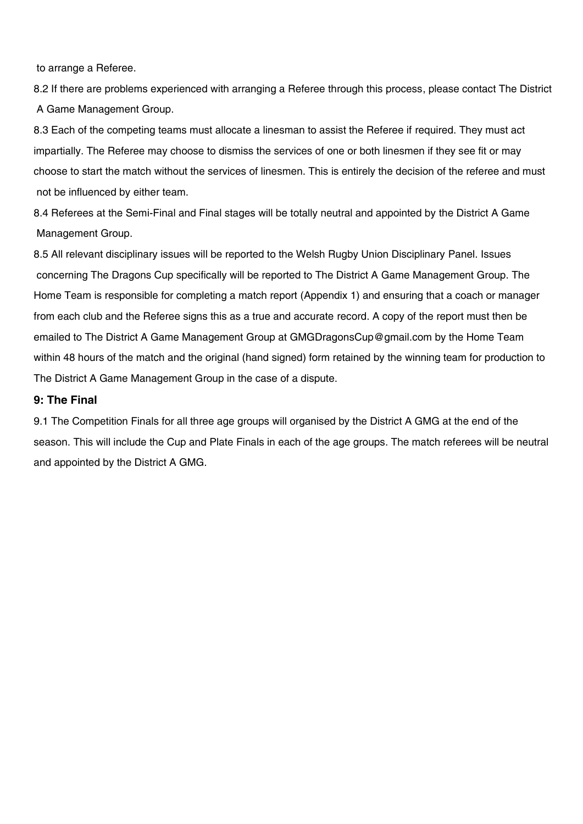to arrange a Referee.

8.2 If there are problems experienced with arranging a Referee through this process, please contact The District A Game Management Group.

8.3 Each of the competing teams must allocate a linesman to assist the Referee if required. They must act impartially. The Referee may choose to dismiss the services of one or both linesmen if they see fit or may choose to start the match without the services of linesmen. This is entirely the decision of the referee and must not be influenced by either team.

8.4 Referees at the Semi-Final and Final stages will be totally neutral and appointed by the District A Game Management Group.

8.5 All relevant disciplinary issues will be reported to the Welsh Rugby Union Disciplinary Panel. Issues concerning The Dragons Cup specifically will be reported to The District A Game Management Group. The Home Team is responsible for completing a match report (Appendix 1) and ensuring that a coach or manager from each club and the Referee signs this as a true and accurate record. A copy of the report must then be emailed to The District A Game Management Group at GMGDragonsCup@gmail.com by the Home Team within 48 hours of the match and the original (hand signed) form retained by the winning team for production to The District A Game Management Group in the case of a dispute.

#### **9: The Final**

9.1 The Competition Finals for all three age groups will organised by the District A GMG at the end of the season. This will include the Cup and Plate Finals in each of the age groups. The match referees will be neutral and appointed by the District A GMG.